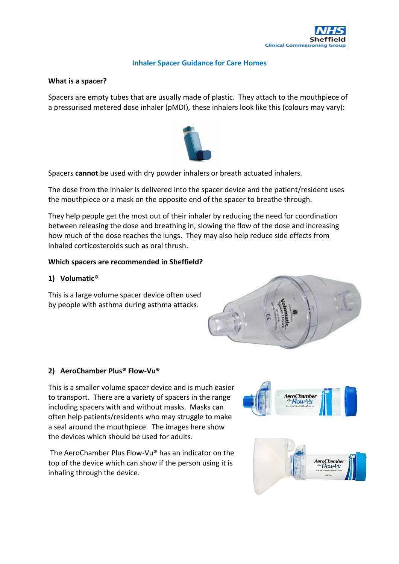

### **Inhaler Spacer Guidance for Care Homes**

### **What is a spacer?**

Spacers are empty tubes that are usually made of plastic. They attach to the mouthpiece of a pressurised metered dose inhaler (pMDI), these inhalers look like this (colours may vary):



Spacers **cannot** be used with dry powder inhalers or breath actuated inhalers.

The dose from the inhaler is delivered into the spacer device and the patient/resident uses the mouthpiece or a mask on the opposite end of the spacer to breathe through.

They help people get the most out of their inhaler by reducing the need for coordination between releasing the dose and breathing in, slowing the flow of the dose and increasing how much of the dose reaches the lungs. They may also help reduce side effects from inhaled corticosteroids such as oral thrush.

#### **Which spacers are recommended in Sheffield?**

### **1) Volumatic®**

This is a large volume spacer device often used by people with asthma during asthma attacks.



#### **2) AeroChamber Plus® Flow-Vu®**

This is a smaller volume spacer device and is much easier to transport. There are a variety of spacers in the range including spacers with and without masks. Masks can often help patients/residents who may struggle to make a seal around the mouthpiece. The images here show the devices which should be used for adults.

The AeroChamber Plus Flow-Vu® has an indicator on the top of the device which can show if the person using it is inhaling through the device.



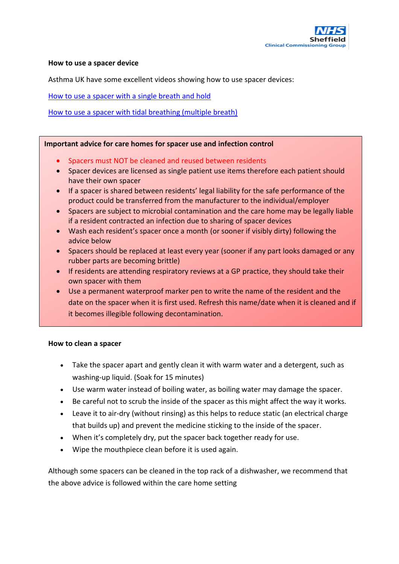

#### **How to use a spacer device**

Asthma UK have some excellent videos showing how to use spacer devices:

[How to use a spacer with a single breath and hold](https://www.asthma.org.uk/advice/inhaler-videos/single-breath-and-hold/)

# [How to use a spacer with tidal breathing \(multiple breath\)](https://www.asthma.org.uk/advice/inhaler-videos/tidal-breathing/)

### **Important advice for care homes for spacer use and infection control**

- Spacers must NOT be cleaned and reused between residents
- Spacer devices are licensed as single patient use items therefore each patient should have their own spacer
- If a spacer is shared between residents' legal liability for the safe performance of the product could be transferred from the manufacturer to the individual/employer
- Spacers are subject to microbial contamination and the care home may be legally liable if a resident contracted an infection due to sharing of spacer devices
- Wash each resident's spacer once a month (or sooner if visibly dirty) following the advice below
- Spacers should be replaced at least every year (sooner if any part looks damaged or any rubber parts are becoming brittle)
- If residents are attending respiratory reviews at a GP practice, they should take their own spacer with them
- Use a permanent waterproof marker pen to write the name of the resident and the date on the spacer when it is first used. Refresh this name/date when it is cleaned and if it becomes illegible following decontamination.

# **How to clean a spacer**

- Take the spacer apart and gently clean it with warm water and a detergent, such as washing-up liquid. (Soak for 15 minutes)
- Use warm water instead of boiling water, as boiling water may damage the spacer.
- Be careful not to scrub the inside of the spacer as this might affect the way it works.
- Leave it to air-dry (without rinsing) as this helps to reduce static (an electrical charge that builds up) and prevent the medicine sticking to the inside of the spacer.
- When it's completely dry, put the spacer back together ready for use.
- Wipe the mouthpiece clean before it is used again.

Although some spacers can be cleaned in the top rack of a dishwasher, we recommend that the above advice is followed within the care home setting